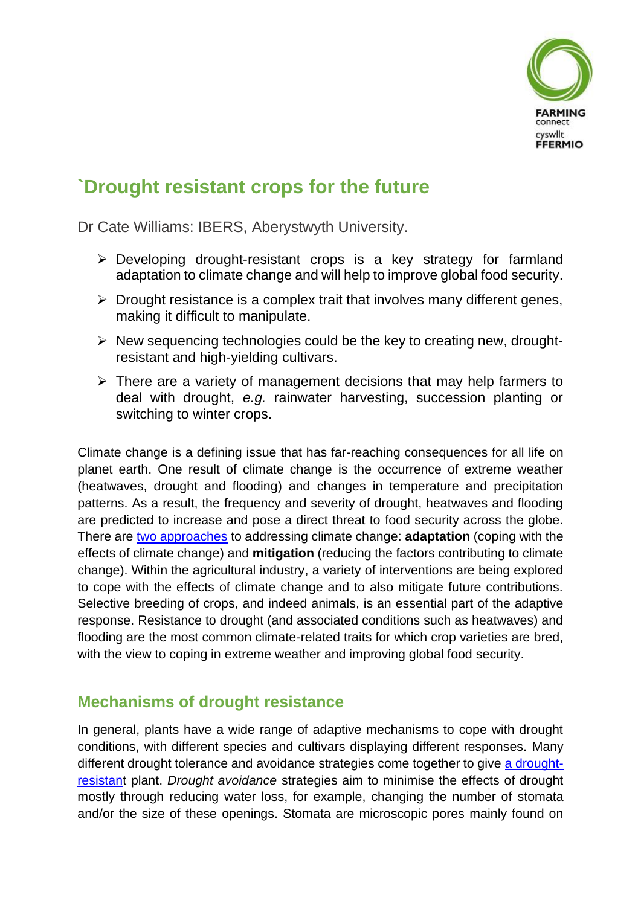

# **`Drought resistant crops for the future**

Dr Cate Williams: IBERS, Aberystwyth University.

- ➢ Developing drought-resistant crops is a key strategy for farmland adaptation to climate change and will help to improve global food security.
- $\triangleright$  Drought resistance is a complex trait that involves many different genes, making it difficult to manipulate.
- $\triangleright$  New sequencing technologies could be the key to creating new, droughtresistant and high-yielding cultivars.
- ➢ There are a variety of management decisions that may help farmers to deal with drought, *e.g.* rainwater harvesting, succession planting or switching to winter crops.

Climate change is a defining issue that has far-reaching consequences for all life on planet earth. One result of climate change is the occurrence of extreme weather (heatwaves, drought and flooding) and changes in temperature and precipitation patterns. As a result, the frequency and severity of drought, heatwaves and flooding are predicted to increase and pose a direct threat to food security across the globe. There are [two approaches](https://journals.sagepub.com/doi/pdf/10.5367/oa.2010.0016) to addressing climate change: **adaptation** (coping with the effects of climate change) and **mitigation** (reducing the factors contributing to climate change). Within the agricultural industry, a variety of interventions are being explored to cope with the effects of climate change and to also mitigate future contributions. Selective breeding of crops, and indeed animals, is an essential part of the adaptive response. Resistance to drought (and associated conditions such as heatwaves) and flooding are the most common climate-related traits for which crop varieties are bred, with the view to coping in extreme weather and improving global food security.

# **Mechanisms of drought resistance**

In general, plants have a wide range of adaptive mechanisms to cope with drought conditions, with different species and cultivars displaying different responses. Many different drought tolerance and avoidance strategies come together to give [a drought](https://www.annualreviews.org/doi/abs/10.1146/annurev-arplant-050213-040000)[resistant](https://www.annualreviews.org/doi/abs/10.1146/annurev-arplant-050213-040000) plant. *Drought avoidance* strategies aim to minimise the effects of drought mostly through reducing water loss, for example, changing the number of stomata and/or the size of these openings. Stomata are microscopic pores mainly found on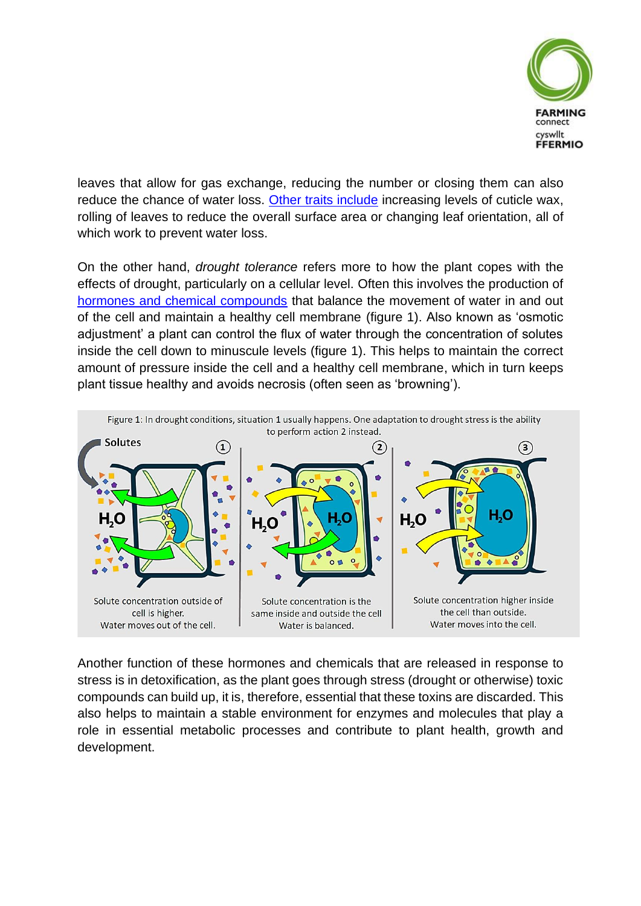

leaves that allow for gas exchange, reducing the number or closing them can also reduce the chance of water loss. [Other traits include](https://link.springer.com/article/10.1672/0277-5212(2007)27%5b656:DTVDAA%5d2.0.CO;2) increasing levels of cuticle wax, rolling of leaves to reduce the overall surface area or changing leaf orientation, all of which work to prevent water loss.

On the other hand, *drought tolerance* refers more to how the plant copes with the effects of drought, particularly on a cellular level. Often this involves the production of [hormones and chemical compounds](https://www.ncbi.nlm.nih.gov/pmc/articles/PMC4937719/) that balance the movement of water in and out of the cell and maintain a healthy cell membrane (figure 1). Also known as 'osmotic adjustment' a plant can control the flux of water through the concentration of solutes inside the cell down to minuscule levels (figure 1). This helps to maintain the correct amount of pressure inside the cell and a healthy cell membrane, which in turn keeps plant tissue healthy and avoids necrosis (often seen as 'browning').



Another function of these hormones and chemicals that are released in response to stress is in detoxification, as the plant goes through stress (drought or otherwise) toxic compounds can build up, it is, therefore, essential that these toxins are discarded. This also helps to maintain a stable environment for enzymes and molecules that play a role in essential metabolic processes and contribute to plant health, growth and development.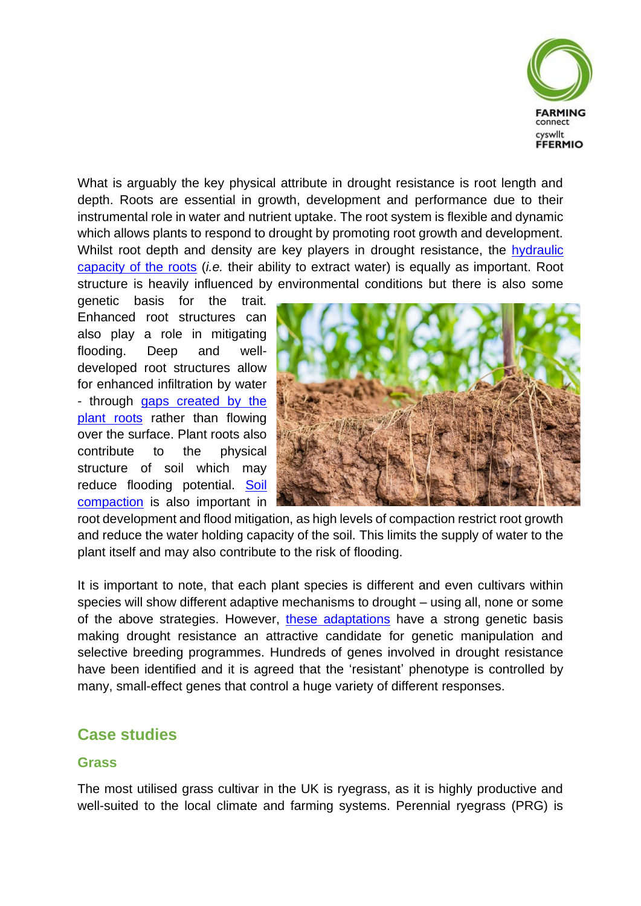

What is arguably the key physical attribute in drought resistance is root length and depth. Roots are essential in growth, development and performance due to their instrumental role in water and nutrient uptake. The root system is flexible and dynamic which allows plants to respond to drought by promoting root growth and development. Whilst root depth and density are key players in drought resistance, the hydraulic [capacity of the roots](https://www.sciencedirect.com/science/article/pii/S0378429014000872) (*i.e.* their ability to extract water) is equally as important. Root structure is heavily influenced by environmental conditions but there is also some

genetic basis for the trait. Enhanced root structures can also play a role in mitigating flooding. Deep and welldeveloped root structures allow for enhanced infiltration by water - through [gaps created by the](https://link.springer.com/content/pdf/10.1007/s00254-004-1108-y.pdf)  [plant roots](https://link.springer.com/content/pdf/10.1007/s00254-004-1108-y.pdf) rather than flowing over the surface. Plant roots also contribute to the physical structure of soil which may reduce flooding potential. [Soil](https://www.pioneerseeds.com.au/corn-grain/product-information/grain-technical-insights/water-retention-and-nutrient-availability-in-soil-drainage-and-compaction.html)  [compaction](https://www.pioneerseeds.com.au/corn-grain/product-information/grain-technical-insights/water-retention-and-nutrient-availability-in-soil-drainage-and-compaction.html) is also important in



root development and flood mitigation, as high levels of compaction restrict root growth and reduce the water holding capacity of the soil. This limits the supply of water to the plant itself and may also contribute to the risk of flooding.

It is important to note, that each plant species is different and even cultivars within species will show different adaptive mechanisms to drought – using all, none or some of the above strategies. However, [these adaptations](https://www.sciencedirect.com/science/article/pii/S0098847210001176) have a strong genetic basis making drought resistance an attractive candidate for genetic manipulation and selective breeding programmes. Hundreds of genes involved in drought resistance have been identified and it is agreed that the 'resistant' phenotype is controlled by many, small-effect genes that control a huge variety of different responses.

# **Case studies**

#### **Grass**

The most utilised grass cultivar in the UK is ryegrass, as it is highly productive and well-suited to the local climate and farming systems. Perennial ryegrass (PRG) is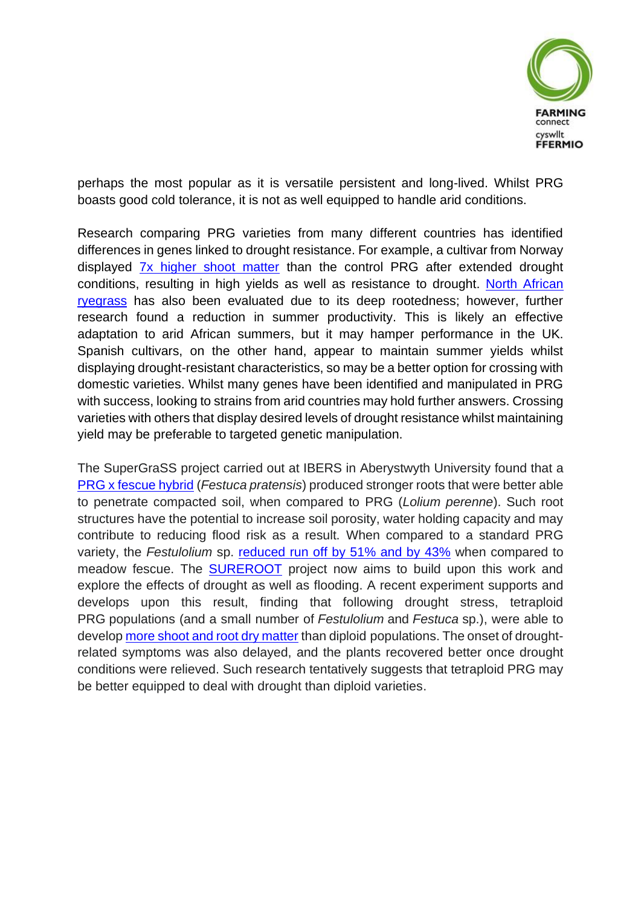

perhaps the most popular as it is versatile persistent and long-lived. Whilst PRG boasts good cold tolerance, it is not as well equipped to handle arid conditions.

Research comparing PRG varieties from many different countries has identified differences in genes linked to drought resistance. For example, a cultivar from Norway displayed [7x higher shoot matter](https://journals.plos.org/plosone/article?id=10.1371/journal.pone.0194977) than the control PRG after extended drought conditions, resulting in high yields as well as resistance to drought. [North African](https://www.researchgate.net/profile/Jean_Hugues_Hatier/publication/264971328_Matthew_C_van_der_Linden_A_Hussain_S_Easton_Which_way_forward_in_the_quest_for_drought_tolerance_in_perennial_ryegrass/links/55d79c6308aed6a199a68df1.pdf)  [ryegrass](https://www.researchgate.net/profile/Jean_Hugues_Hatier/publication/264971328_Matthew_C_van_der_Linden_A_Hussain_S_Easton_Which_way_forward_in_the_quest_for_drought_tolerance_in_perennial_ryegrass/links/55d79c6308aed6a199a68df1.pdf) has also been evaluated due to its deep rootedness; however, further research found a reduction in summer productivity. This is likely an effective adaptation to arid African summers, but it may hamper performance in the UK. Spanish cultivars, on the other hand, appear to maintain summer yields whilst displaying drought-resistant characteristics, so may be a better option for crossing with domestic varieties. Whilst many genes have been identified and manipulated in PRG with success, looking to strains from arid countries may hold further answers. Crossing varieties with others that display desired levels of drought resistance whilst maintaining yield may be preferable to targeted genetic manipulation.

The SuperGraSS project carried out at IBERS in Aberystwyth University found that a PRG [x fescue hybrid](https://www.aber.ac.uk/en/media/departmental/ibers/innovations/innovations4/05.pdf) (*Festuca pratensis*) produced stronger roots that were better able to penetrate compacted soil, when compared to PRG (*Lolium perenne*). Such root structures have the potential to increase soil porosity, water holding capacity and may contribute to reducing flood risk as a result. When compared to a standard PRG variety, the *Festulolium* sp. [reduced run off by 51% and by 43%](https://www.nature.com/articles/srep01683/) when compared to meadow fescue. The **[SUREROOT](http://www.sureroot.uk/)** project now aims to build upon this work and explore the effects of drought as well as flooding. A recent experiment supports and develops upon this result, finding that following drought stress, tetraploid PRG populations (and a small number of *Festulolium* and *Festuca* sp.), were able to develo[p more shoot and root dry matter](https://onlinelibrary.wiley.com/doi/full/10.1111/jac.12269) than diploid populations. The onset of droughtrelated symptoms was also delayed, and the plants recovered better once drought conditions were relieved. Such research tentatively suggests that tetraploid PRG may be better equipped to deal with drought than diploid varieties.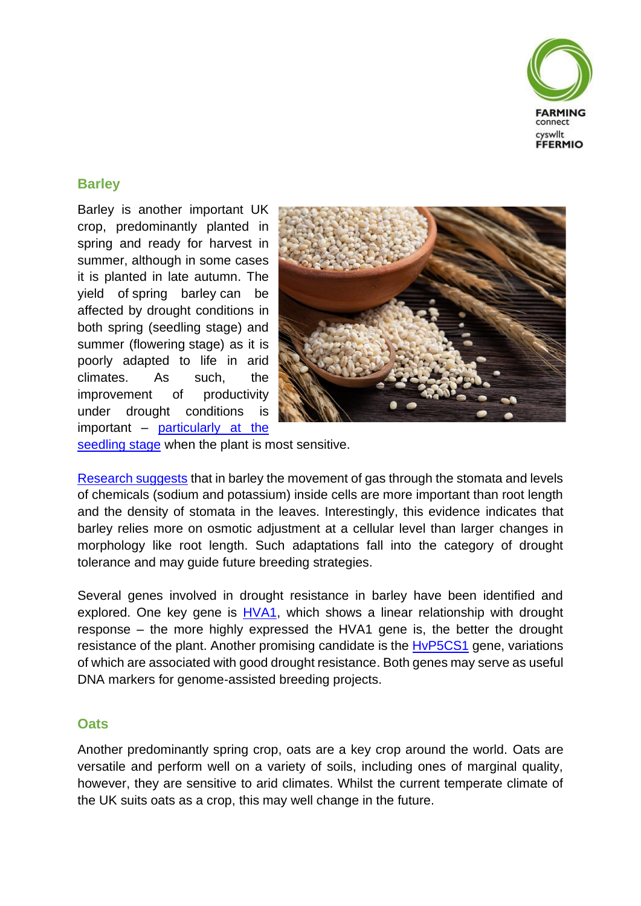

### **Barley**

Barley is another important UK crop, predominantly planted in spring and ready for harvest in summer, although in some cases it is planted in late autumn. The yield of spring barley can be affected by drought conditions in both spring (seedling stage) and summer (flowering stage) as it is poorly adapted to life in arid climates. As such, the improvement of productivity under drought conditions is important – [particularly at the](https://www.ncbi.nlm.nih.gov/pmc/articles/PMC6651786/) 



[seedling stage](https://www.ncbi.nlm.nih.gov/pmc/articles/PMC6651786/) when the plant is most sensitive.

[Research suggests](https://onlinelibrary.wiley.com/doi/pdf/10.1111/jac.12307) that in barley the movement of gas through the stomata and levels of chemicals (sodium and potassium) inside cells are more important than root length and the density of stomata in the leaves. Interestingly, this evidence indicates that barley relies more on osmotic adjustment at a cellular level than larger changes in morphology like root length. Such adaptations fall into the category of drought tolerance and may guide future breeding strategies.

Several genes involved in drought resistance in barley have been identified and explored. One key gene is [HVA1,](http://web.b.ebscohost.com/abstract?site=ehost&scope=site&jrnl=11254718&AN=127365017&h=A3f8tMrSuiVTyE7nVoKWSI4XgKZgtBQvRu3Gs9H2ANsQ0hgO1RXq5zEvue6nt140DTcMN6m5ZXiwwzN1b9KGqg%3d%3d&crl=c&resultLocal=ErrCrlNoResults&resultNs=Ehost&crlhashurl=login.aspx%3fdirect%3dtrue%26profile%3dehost%26scope%3dsite%26authtype%3dcrawler%26jrnl%3d11254718%26AN%3d127365017) which shows a linear relationship with drought response – the more highly expressed the HVA1 gene is, the better the drought resistance of the plant. Another promising candidate is the [HvP5CS1](https://www.nature.com/articles/s41598-017-08393-0) gene, variations of which are associated with good drought resistance. Both genes may serve as useful DNA markers for genome-assisted breeding projects.

#### **Oats**

Another predominantly spring crop, oats are a key crop around the world. Oats are versatile and perform well on a variety of soils, including ones of marginal quality, however, they are sensitive to arid climates. Whilst the current temperate climate of the UK suits oats as a crop, this may well change in the future.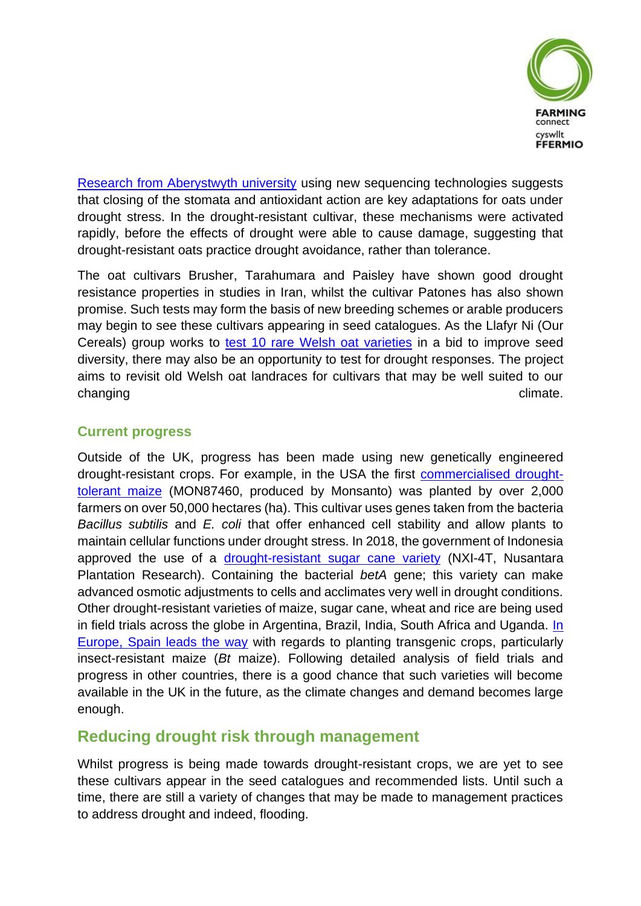

[Research from Aberystwyth university](https://onlinelibrary.wiley.com/doi/full/10.1111/pce.12501) using new sequencing technologies suggests that closing of the stomata and antioxidant action are key adaptations for oats under drought stress. In the drought-resistant cultivar, these mechanisms were activated rapidly, before the effects of drought were able to cause damage, suggesting that drought-resistant oats practice drought avoidance, rather than tolerance.

The oat cultivars Brusher, Tarahumara and Paisley have shown good drought resistance properties in studies in Iran, whilst the cultivar Patones has also shown promise. Such tests may form the basis of new breeding schemes or arable producers may begin to see these cultivars appearing in seed catalogues. As the Llafyr Ni (Our Cereals) group works to [test 10 rare Welsh oat varieties](https://www.seedsovereignty.info/rare-welsh-oat-varieties-coming-out-of-genebanks-to-be-planted-katie-hastings-tells-us-about-the-exciting-news-coming-from-wales/) in a bid to improve seed diversity, there may also be an opportunity to test for drought responses. The project aims to revisit old Welsh oat landraces for cultivars that may be well suited to our changing changing changing changing changing changing changing changing changing changing changing changing changing changing changing changing changing changing changing changing changing changing changing changing changi

### **Current progress**

Outside of the UK, progress has been made using new genetically engineered drought-resistant crops. For example, in the USA the first [commercialised drought](https://www.researchgate.net/publication/266613877_Characterization_of_Drought-Tolerant_Maize_MON_87460_for_Use_in_Environmental_Risk_Assessment)[tolerant maize](https://www.researchgate.net/publication/266613877_Characterization_of_Drought-Tolerant_Maize_MON_87460_for_Use_in_Environmental_Risk_Assessment) (MON87460, produced by Monsanto) was planted by over 2,000 farmers on over 50,000 hectares (ha). This cultivar uses genes taken from the bacteria *Bacillus subtilis* and *E. coli* that offer enhanced cell stability and allow plants to maintain cellular functions under drought stress. In 2018, the government of Indonesia approved the use of a [drought-resistant sugar cane variety](https://www.researchgate.net/publication/325181808_Biotechnology_of_Drought-Tolerant_Sugarcane) (NXI-4T, Nusantara Plantation Research). Containing the bacterial *betA* gene; this variety can make advanced osmotic adjustments to cells and acclimates very well in drought conditions. Other drought-resistant varieties of maize, sugar cane, wheat and rice are being used in field trials across the globe in Argentina, Brazil, India, South Africa and Uganda. [In](https://royalsociety.org/topics-policy/projects/gm-plants/what-gm-crops-are-currently-being-grown-and-where/)  [Europe, Spain leads the way](https://royalsociety.org/topics-policy/projects/gm-plants/what-gm-crops-are-currently-being-grown-and-where/) with regards to planting transgenic crops, particularly insect-resistant maize (*Bt* maize). Following detailed analysis of field trials and progress in other countries, there is a good chance that such varieties will become available in the UK in the future, as the climate changes and demand becomes large enough.

## **Reducing drought risk through management**

Whilst progress is being made towards drought-resistant crops, we are yet to see these cultivars appear in the seed catalogues and recommended lists. Until such a time, there are still a variety of changes that may be made to management practices to address drought and indeed, flooding.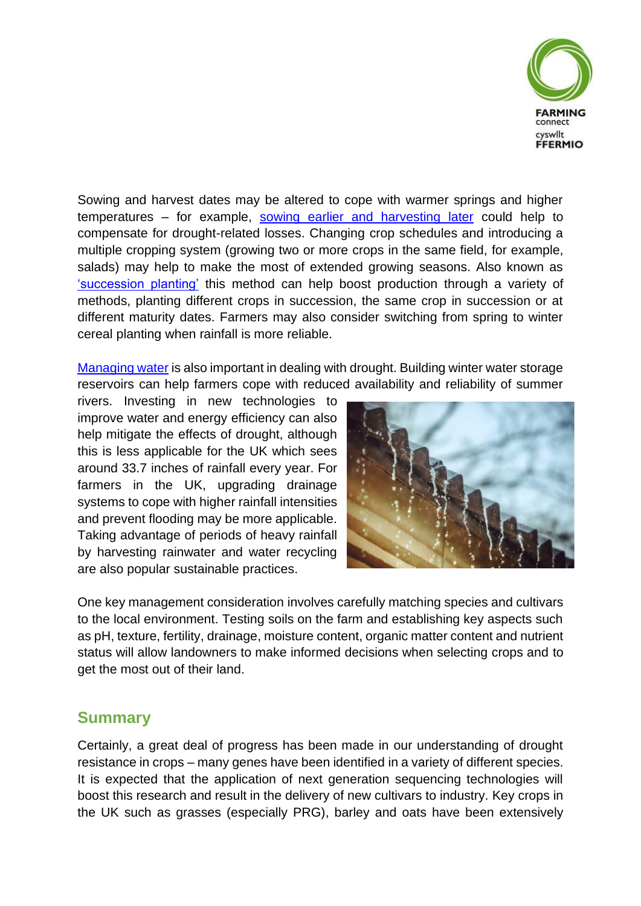

Sowing and harvest dates may be altered to cope with warmer springs and higher temperatures – for example, [sowing earlier and harvesting later](https://onlinelibrary.wiley.com/doi/full/10.1111/j.1475-2743.2006.00018.x) could help to compensate for drought-related losses. Changing crop schedules and introducing a multiple cropping system (growing two or more crops in the same field, for example, salads) may help to make the most of extended growing seasons. Also known as ['succession planting'](https://www.ers.usda.gov/webdocs/publications/43862/46871_eib125.pdf?v=41787) this method can help boost production through a variety of methods, planting different crops in succession, the same crop in succession or at different maturity dates. Farmers may also consider switching from spring to winter cereal planting when rainfall is more reliable.

[Managing water](https://journals.sagepub.com/doi/pdf/10.5367/oa.2010.0016) is also important in dealing with drought. Building winter water storage reservoirs can help farmers cope with reduced availability and reliability of summer

rivers. Investing in new technologies to improve water and energy efficiency can also help mitigate the effects of drought, although this is less applicable for the UK which sees around 33.7 inches of rainfall every year. For farmers in the UK, upgrading drainage systems to cope with higher rainfall intensities and prevent flooding may be more applicable. Taking advantage of periods of heavy rainfall by harvesting rainwater and water recycling are also popular sustainable practices.



One key management consideration involves carefully matching species and cultivars to the local environment. Testing soils on the farm and establishing key aspects such as pH, texture, fertility, drainage, moisture content, organic matter content and nutrient status will allow landowners to make informed decisions when selecting crops and to get the most out of their land.

# **Summary**

Certainly, a great deal of progress has been made in our understanding of drought resistance in crops – many genes have been identified in a variety of different species. It is expected that the application of next generation sequencing technologies will boost this research and result in the delivery of new cultivars to industry. Key crops in the UK such as grasses (especially PRG), barley and oats have been extensively